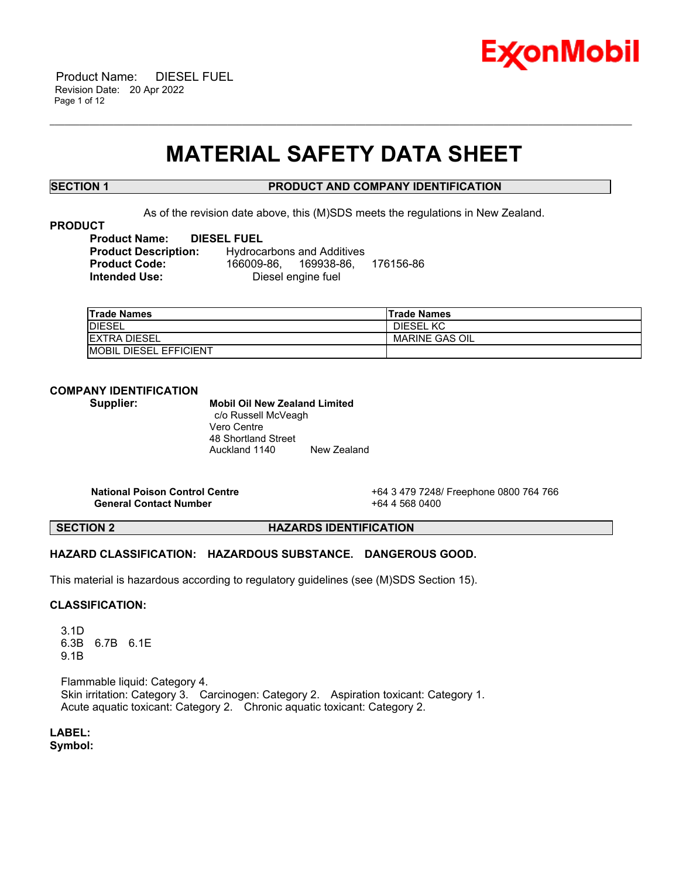

## **MATERIAL SAFETY DATA SHEET**

\_\_\_\_\_\_\_\_\_\_\_\_\_\_\_\_\_\_\_\_\_\_\_\_\_\_\_\_\_\_\_\_\_\_\_\_\_\_\_\_\_\_\_\_\_\_\_\_\_\_\_\_\_\_\_\_\_\_\_\_\_\_\_\_\_\_\_\_\_\_\_\_\_\_\_\_\_\_\_\_\_\_\_\_\_\_\_\_\_\_\_\_\_\_\_\_\_\_\_\_\_\_\_\_\_\_\_\_\_\_\_\_\_\_\_\_\_\_

### **SECTION 1 PRODUCT AND COMPANY IDENTIFICATION**

As of the revision date above, this (M)SDS meets the regulations in New Zealand.

#### **PRODUCT**

| <b>Product Name:</b>        | <b>DIESEL FUEL</b> |                                   |           |
|-----------------------------|--------------------|-----------------------------------|-----------|
| <b>Product Description:</b> |                    | <b>Hydrocarbons and Additives</b> |           |
| <b>Product Code:</b>        |                    | 166009-86.  169938-86.            | 176156-86 |
| Intended Use:               |                    | Diesel engine fuel                |           |

| <b>Trade Names</b>             | 'Trade Names          |
|--------------------------------|-----------------------|
| <b>IDIESEL</b>                 | DIESEL KC             |
| <b>IEXTRA DIESEL</b>           | <b>MARINE GAS OIL</b> |
| <b>IMOBIL DIESEL EFFICIENT</b> |                       |

### **COMPANY IDENTIFICATION**

### **Supplier: Mobil Oil New Zealand Limited**

c/o Russell McVeagh Vero Centre 48 Shortland Street Auckland 1140 New Zealand

**General Contact Number** +64 4 568 0400

**National Poison Control Centre** +64 3 479 7248/ Freephone 0800 764 766

**SECTION 2 HAZARDS IDENTIFICATION**

#### **HAZARD CLASSIFICATION: HAZARDOUS SUBSTANCE. DANGEROUS GOOD.**

This material is hazardous according to regulatory guidelines (see (M)SDS Section 15).

#### **CLASSIFICATION:**

 3.1D 6.3B 6.7B 6.1E 9.1B

 Flammable liquid: Category 4. Skin irritation: Category 3. Carcinogen: Category 2. Aspiration toxicant: Category 1. Acute aquatic toxicant: Category 2. Chronic aquatic toxicant: Category 2.

**LABEL:**

**Symbol:**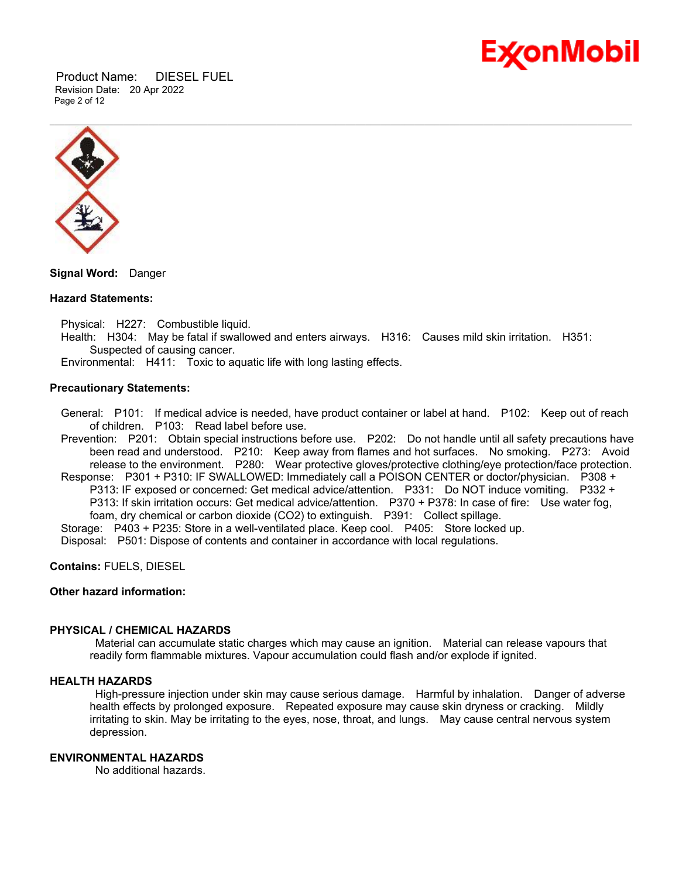

 Product Name: DIESEL FUEL Revision Date: 20 Apr 2022 Page 2 of 12



**Signal Word:** Danger

#### **Hazard Statements:**

Physical: H227: Combustible liquid.

 Health: H304: May be fatal if swallowed and enters airways. H316: Causes mild skin irritation. H351: Suspected of causing cancer.

Environmental: H411: Toxic to aquatic life with long lasting effects.

#### **Precautionary Statements:**

 General: P101: If medical advice is needed, have product container or label at hand. P102: Keep out of reach of children. P103: Read label before use.

 Prevention: P201: Obtain special instructions before use. P202: Do not handle until all safety precautions have been read and understood. P210: Keep away from flames and hot surfaces. No smoking. P273: Avoid release to the environment. P280: Wear protective gloves/protective clothing/eye protection/face protection.

 Response: P301 + P310: IF SWALLOWED: Immediately call a POISON CENTER or doctor/physician. P308 + P313: IF exposed or concerned: Get medical advice/attention. P331: Do NOT induce vomiting. P332 + P313: If skin irritation occurs: Get medical advice/attention. P370 + P378: In case of fire: Use water fog,

foam, dry chemical or carbon dioxide (CO2) to extinguish. P391: Collect spillage.

Storage: P403 + P235: Store in a well-ventilated place. Keep cool. P405: Store locked up.

Disposal: P501: Dispose of contents and container in accordance with local regulations.

**Contains:** FUELS, DIESEL

#### **Other hazard information:**

#### **PHYSICAL / CHEMICAL HAZARDS**

Material can accumulate static charges which may cause an ignition. Material can release vapours that readily form flammable mixtures. Vapour accumulation could flash and/or explode if ignited.

#### **HEALTH HAZARDS**

High-pressure injection under skin may cause serious damage. Harmful by inhalation. Danger of adverse health effects by prolonged exposure. Repeated exposure may cause skin dryness or cracking. Mildly irritating to skin. May be irritating to the eyes, nose, throat, and lungs. May cause central nervous system depression.

#### **ENVIRONMENTAL HAZARDS**

No additional hazards.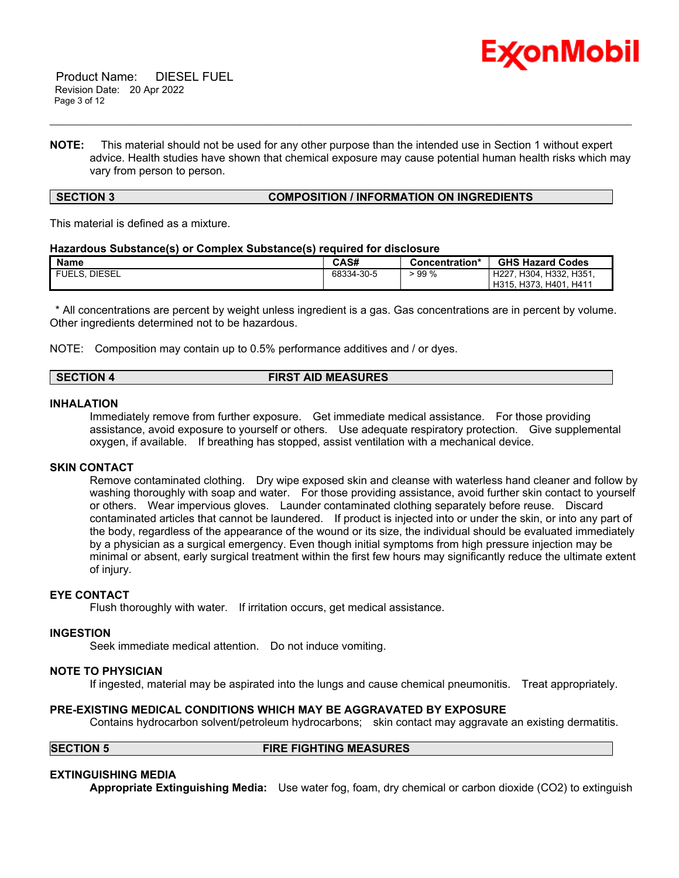

**NOTE:** This material should not be used for any other purpose than the intended use in Section 1 without expert advice. Health studies have shown that chemical exposure may cause potential human health risks which may vary from person to person.

\_\_\_\_\_\_\_\_\_\_\_\_\_\_\_\_\_\_\_\_\_\_\_\_\_\_\_\_\_\_\_\_\_\_\_\_\_\_\_\_\_\_\_\_\_\_\_\_\_\_\_\_\_\_\_\_\_\_\_\_\_\_\_\_\_\_\_\_\_\_\_\_\_\_\_\_\_\_\_\_\_\_\_\_\_\_\_\_\_\_\_\_\_\_\_\_\_\_\_\_\_\_\_\_\_\_\_\_\_\_\_\_\_\_\_\_\_\_

#### **SECTION 3 COMPOSITION / INFORMATION ON INGREDIENTS**

This material is defined as a mixture.

#### **Hazardous Substance(s) or Complex Substance(s) required for disclosure**

| <b>Name</b>          | CAS#       | Concentration* | <b>GHS Hazard Codes</b>               |
|----------------------|------------|----------------|---------------------------------------|
| <b>FUELS, DIESEL</b> | 68334-30-5 | $\cdot$ 99 %   | H304, H332, H351,<br>H <sub>227</sub> |
|                      |            |                | H315, H373, H401, H411                |

\* All concentrations are percent by weight unless ingredient is a gas. Gas concentrations are in percent by volume. Other ingredients determined not to be hazardous.

NOTE: Composition may contain up to 0.5% performance additives and / or dyes.

| <b>FIRST AID MEASURES</b><br><b>SECTION 4</b> |
|-----------------------------------------------|
|-----------------------------------------------|

#### **INHALATION**

Immediately remove from further exposure. Get immediate medical assistance. For those providing assistance, avoid exposure to yourself or others. Use adequate respiratory protection. Give supplemental oxygen, if available. If breathing has stopped, assist ventilation with a mechanical device.

#### **SKIN CONTACT**

Remove contaminated clothing. Dry wipe exposed skin and cleanse with waterless hand cleaner and follow by washing thoroughly with soap and water. For those providing assistance, avoid further skin contact to yourself or others. Wear impervious gloves. Launder contaminated clothing separately before reuse. Discard contaminated articles that cannot be laundered. If product is injected into or under the skin, or into any part of the body, regardless of the appearance of the wound or its size, the individual should be evaluated immediately by a physician as a surgical emergency. Even though initial symptoms from high pressure injection may be minimal or absent, early surgical treatment within the first few hours may significantly reduce the ultimate extent of injury.

#### **EYE CONTACT**

Flush thoroughly with water. If irritation occurs, get medical assistance.

#### **INGESTION**

Seek immediate medical attention. Do not induce vomiting.

#### **NOTE TO PHYSICIAN**

If ingested, material may be aspirated into the lungs and cause chemical pneumonitis. Treat appropriately.

#### **PRE-EXISTING MEDICAL CONDITIONS WHICH MAY BE AGGRAVATED BY EXPOSURE**

Contains hydrocarbon solvent/petroleum hydrocarbons; skin contact may aggravate an existing dermatitis.

#### **SECTION 5 FIRE FIGHTING MEASURES**

#### **EXTINGUISHING MEDIA**

**Appropriate Extinguishing Media:** Use water fog, foam, dry chemical or carbon dioxide (CO2) to extinguish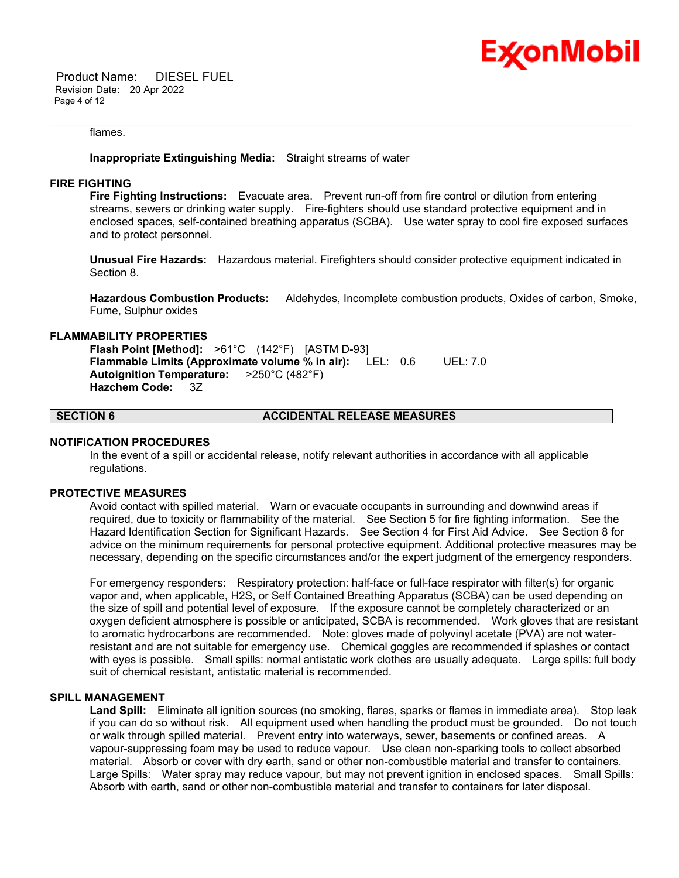

 Product Name: DIESEL FUEL Revision Date: 20 Apr 2022 Page 4 of 12

#### flames.

#### **Inappropriate Extinguishing Media:** Straight streams of water

#### **FIRE FIGHTING**

**Fire Fighting Instructions:** Evacuate area. Prevent run-off from fire control or dilution from entering streams, sewers or drinking water supply. Fire-fighters should use standard protective equipment and in enclosed spaces, self-contained breathing apparatus (SCBA). Use water spray to cool fire exposed surfaces and to protect personnel.

\_\_\_\_\_\_\_\_\_\_\_\_\_\_\_\_\_\_\_\_\_\_\_\_\_\_\_\_\_\_\_\_\_\_\_\_\_\_\_\_\_\_\_\_\_\_\_\_\_\_\_\_\_\_\_\_\_\_\_\_\_\_\_\_\_\_\_\_\_\_\_\_\_\_\_\_\_\_\_\_\_\_\_\_\_\_\_\_\_\_\_\_\_\_\_\_\_\_\_\_\_\_\_\_\_\_\_\_\_\_\_\_\_\_\_\_\_\_

**Unusual Fire Hazards:** Hazardous material. Firefighters should consider protective equipment indicated in Section 8.

**Hazardous Combustion Products:** Aldehydes, Incomplete combustion products, Oxides of carbon, Smoke, Fume, Sulphur oxides

#### **FLAMMABILITY PROPERTIES**

**Flash Point [Method]:** >61°C (142°F) [ASTM D-93] **Flammable Limits (Approximate volume % in air):** LEL: 0.6 UEL: 7.0 **Autoignition Temperature:** >250°C (482°F) **Hazchem Code:** 3Z

#### **SECTION 6 ACCIDENTAL RELEASE MEASURES**

#### **NOTIFICATION PROCEDURES**

In the event of a spill or accidental release, notify relevant authorities in accordance with all applicable regulations.

#### **PROTECTIVE MEASURES**

Avoid contact with spilled material. Warn or evacuate occupants in surrounding and downwind areas if required, due to toxicity or flammability of the material. See Section 5 for fire fighting information. See the Hazard Identification Section for Significant Hazards. See Section 4 for First Aid Advice. See Section 8 for advice on the minimum requirements for personal protective equipment. Additional protective measures may be necessary, depending on the specific circumstances and/or the expert judgment of the emergency responders.

For emergency responders: Respiratory protection: half-face or full-face respirator with filter(s) for organic vapor and, when applicable, H2S, or Self Contained Breathing Apparatus (SCBA) can be used depending on the size of spill and potential level of exposure. If the exposure cannot be completely characterized or an oxygen deficient atmosphere is possible or anticipated, SCBA is recommended. Work gloves that are resistant to aromatic hydrocarbons are recommended. Note: gloves made of polyvinyl acetate (PVA) are not waterresistant and are not suitable for emergency use. Chemical goggles are recommended if splashes or contact with eyes is possible. Small spills: normal antistatic work clothes are usually adequate. Large spills: full body suit of chemical resistant, antistatic material is recommended.

#### **SPILL MANAGEMENT**

**Land Spill:** Eliminate all ignition sources (no smoking, flares, sparks or flames in immediate area). Stop leak if you can do so without risk. All equipment used when handling the product must be grounded. Do not touch or walk through spilled material. Prevent entry into waterways, sewer, basements or confined areas. A vapour-suppressing foam may be used to reduce vapour. Use clean non-sparking tools to collect absorbed material. Absorb or cover with dry earth, sand or other non-combustible material and transfer to containers. Large Spills: Water spray may reduce vapour, but may not prevent ignition in enclosed spaces. Small Spills: Absorb with earth, sand or other non-combustible material and transfer to containers for later disposal.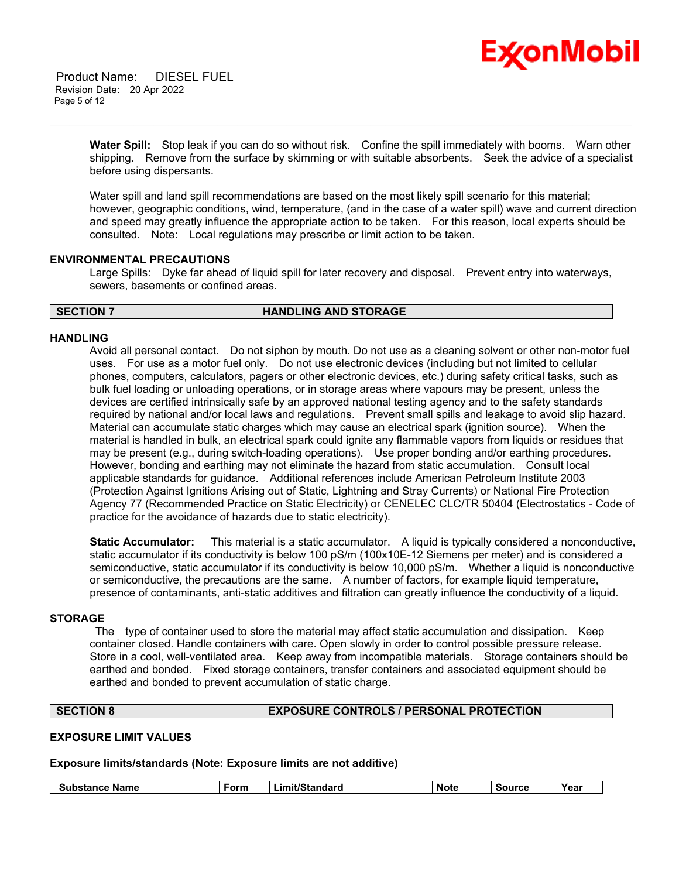# Ex⁄onMobil

 Product Name: DIESEL FUEL Revision Date: 20 Apr 2022 Page 5 of 12

> **Water Spill:** Stop leak if you can do so without risk. Confine the spill immediately with booms. Warn other shipping. Remove from the surface by skimming or with suitable absorbents. Seek the advice of a specialist before using dispersants.

\_\_\_\_\_\_\_\_\_\_\_\_\_\_\_\_\_\_\_\_\_\_\_\_\_\_\_\_\_\_\_\_\_\_\_\_\_\_\_\_\_\_\_\_\_\_\_\_\_\_\_\_\_\_\_\_\_\_\_\_\_\_\_\_\_\_\_\_\_\_\_\_\_\_\_\_\_\_\_\_\_\_\_\_\_\_\_\_\_\_\_\_\_\_\_\_\_\_\_\_\_\_\_\_\_\_\_\_\_\_\_\_\_\_\_\_\_\_

Water spill and land spill recommendations are based on the most likely spill scenario for this material; however, geographic conditions, wind, temperature, (and in the case of a water spill) wave and current direction and speed may greatly influence the appropriate action to be taken. For this reason, local experts should be consulted. Note: Local regulations may prescribe or limit action to be taken.

#### **ENVIRONMENTAL PRECAUTIONS**

Large Spills: Dyke far ahead of liquid spill for later recovery and disposal. Prevent entry into waterways, sewers, basements or confined areas.

#### **SECTION 7 HANDLING AND STORAGE**

#### **HANDLING**

Avoid all personal contact. Do not siphon by mouth. Do not use as a cleaning solvent or other non-motor fuel uses. For use as a motor fuel only. Do not use electronic devices (including but not limited to cellular phones, computers, calculators, pagers or other electronic devices, etc.) during safety critical tasks, such as bulk fuel loading or unloading operations, or in storage areas where vapours may be present, unless the devices are certified intrinsically safe by an approved national testing agency and to the safety standards required by national and/or local laws and regulations. Prevent small spills and leakage to avoid slip hazard. Material can accumulate static charges which may cause an electrical spark (ignition source). When the material is handled in bulk, an electrical spark could ignite any flammable vapors from liquids or residues that may be present (e.g., during switch-loading operations). Use proper bonding and/or earthing procedures. However, bonding and earthing may not eliminate the hazard from static accumulation. Consult local applicable standards for guidance. Additional references include American Petroleum Institute 2003 (Protection Against Ignitions Arising out of Static, Lightning and Stray Currents) or National Fire Protection Agency 77 (Recommended Practice on Static Electricity) or CENELEC CLC/TR 50404 (Electrostatics - Code of practice for the avoidance of hazards due to static electricity).

**Static Accumulator:** This material is a static accumulator. A liquid is typically considered a nonconductive, static accumulator if its conductivity is below 100 pS/m (100x10E-12 Siemens per meter) and is considered a semiconductive, static accumulator if its conductivity is below 10,000 pS/m. Whether a liquid is nonconductive or semiconductive, the precautions are the same. A number of factors, for example liquid temperature, presence of contaminants, anti-static additives and filtration can greatly influence the conductivity of a liquid.

#### **STORAGE**

The type of container used to store the material may affect static accumulation and dissipation. Keep container closed. Handle containers with care. Open slowly in order to control possible pressure release. Store in a cool, well-ventilated area. Keep away from incompatible materials. Storage containers should be earthed and bonded. Fixed storage containers, transfer containers and associated equipment should be earthed and bonded to prevent accumulation of static charge.

### **SECTION 8 EXPOSURE CONTROLS / PERSONAL PROTECTION**

#### **EXPOSURE LIMIT VALUES**

#### **Exposure limits/standards (Note: Exposure limits are not additive)**

| <b>Substance Name</b> | ∙orm | iit/Standard<br>-ım | Note | Source | Year |
|-----------------------|------|---------------------|------|--------|------|
|                       |      |                     |      |        |      |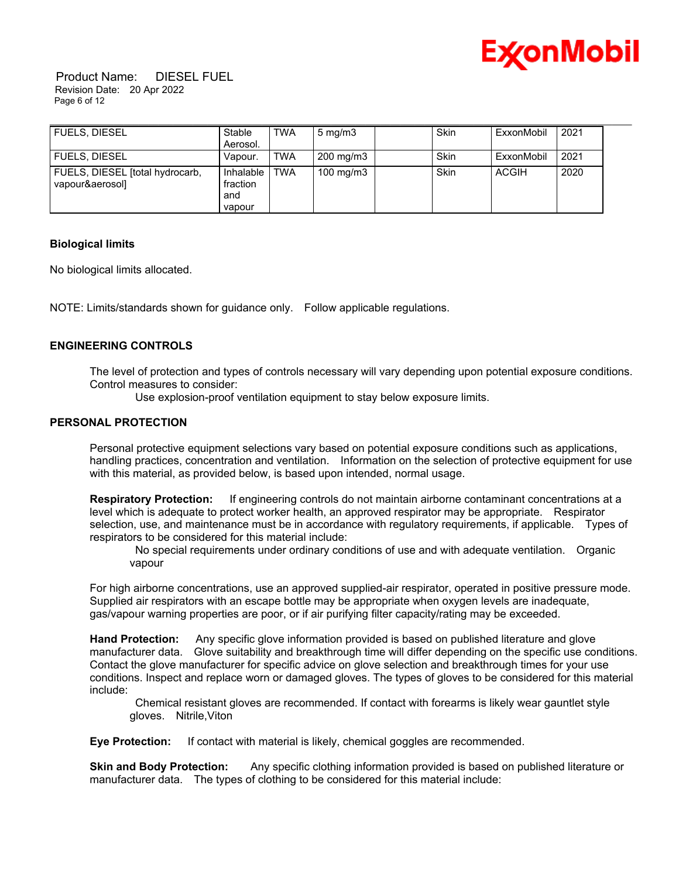

 Product Name: DIESEL FUEL Revision Date: 20 Apr 2022 Page 6 of 12

| <b>FUELS, DIESEL</b>                               | Stable                                 | <b>TWA</b> | $5 \text{ mg/m}$ | Skin | ExxonMobil | 2021 |  |
|----------------------------------------------------|----------------------------------------|------------|------------------|------|------------|------|--|
|                                                    | Aerosol.                               |            |                  |      |            |      |  |
| <b>FUELS, DIESEL</b>                               | Vapour.                                | <b>TWA</b> | 200 mg/m3        | Skin | ExxonMobil | 2021 |  |
| FUELS, DIESEL [total hydrocarb,<br>vapour&aerosol] | Inhalable<br>fraction<br>and<br>vapour | <b>TWA</b> | 100 mg/m $3$     | Skin | ACGIH      | 2020 |  |

#### **Biological limits**

No biological limits allocated.

NOTE: Limits/standards shown for guidance only. Follow applicable regulations.

#### **ENGINEERING CONTROLS**

The level of protection and types of controls necessary will vary depending upon potential exposure conditions. Control measures to consider:

Use explosion-proof ventilation equipment to stay below exposure limits.

#### **PERSONAL PROTECTION**

Personal protective equipment selections vary based on potential exposure conditions such as applications, handling practices, concentration and ventilation. Information on the selection of protective equipment for use with this material, as provided below, is based upon intended, normal usage.

**Respiratory Protection:** If engineering controls do not maintain airborne contaminant concentrations at a level which is adequate to protect worker health, an approved respirator may be appropriate. Respirator selection, use, and maintenance must be in accordance with regulatory requirements, if applicable. Types of respirators to be considered for this material include:

No special requirements under ordinary conditions of use and with adequate ventilation. Organic vapour

For high airborne concentrations, use an approved supplied-air respirator, operated in positive pressure mode. Supplied air respirators with an escape bottle may be appropriate when oxygen levels are inadequate, gas/vapour warning properties are poor, or if air purifying filter capacity/rating may be exceeded.

**Hand Protection:** Any specific glove information provided is based on published literature and glove manufacturer data. Glove suitability and breakthrough time will differ depending on the specific use conditions. Contact the glove manufacturer for specific advice on glove selection and breakthrough times for your use conditions. Inspect and replace worn or damaged gloves. The types of gloves to be considered for this material include:

Chemical resistant gloves are recommended. If contact with forearms is likely wear gauntlet style gloves. Nitrile,Viton

**Eye Protection:** If contact with material is likely, chemical goggles are recommended.

**Skin and Body Protection:** Any specific clothing information provided is based on published literature or manufacturer data. The types of clothing to be considered for this material include: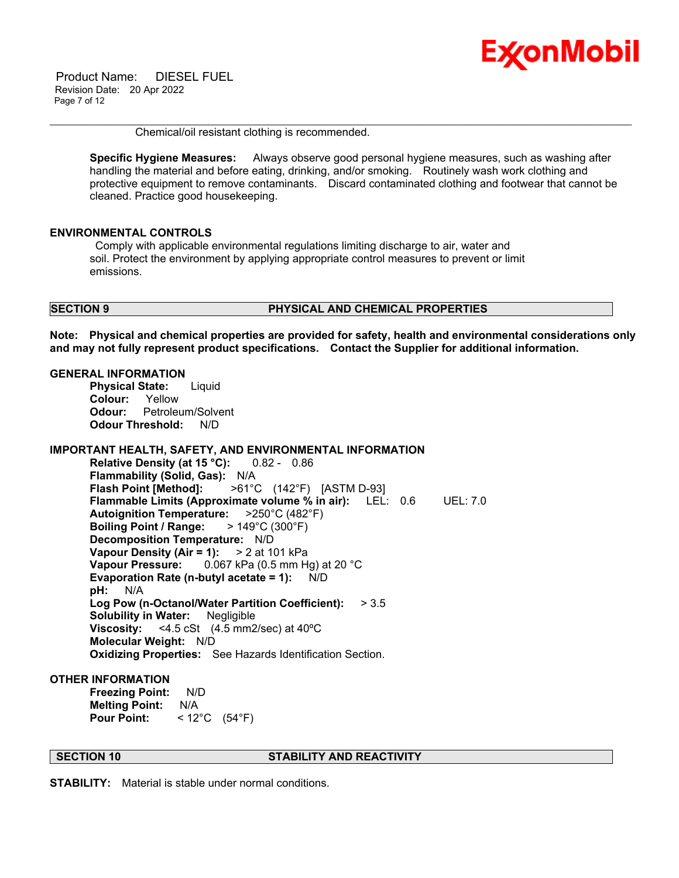

 Product Name: DIESEL FUEL Revision Date: 20 Apr 2022 Page 7 of 12

Chemical/oil resistant clothing is recommended.

**Specific Hygiene Measures:** Always observe good personal hygiene measures, such as washing after handling the material and before eating, drinking, and/or smoking. Routinely wash work clothing and protective equipment to remove contaminants. Discard contaminated clothing and footwear that cannot be cleaned. Practice good housekeeping.

\_\_\_\_\_\_\_\_\_\_\_\_\_\_\_\_\_\_\_\_\_\_\_\_\_\_\_\_\_\_\_\_\_\_\_\_\_\_\_\_\_\_\_\_\_\_\_\_\_\_\_\_\_\_\_\_\_\_\_\_\_\_\_\_\_\_\_\_\_\_\_\_\_\_\_\_\_\_\_\_\_\_\_\_\_\_\_\_\_\_\_\_\_\_\_\_\_\_\_\_\_\_\_\_\_\_\_\_\_\_\_\_\_\_\_\_\_\_

#### **ENVIRONMENTAL CONTROLS**

Comply with applicable environmental regulations limiting discharge to air, water and soil. Protect the environment by applying appropriate control measures to prevent or limit emissions.

#### **SECTION 9 PHYSICAL AND CHEMICAL PROPERTIES**

**Note: Physical and chemical properties are provided for safety, health and environmental considerations only and may not fully represent product specifications. Contact the Supplier for additional information.**

#### **GENERAL INFORMATION**

**Physical State:** Liquid **Colour:** Yellow **Odour:** Petroleum/Solvent **Odour Threshold:** N/D

#### **IMPORTANT HEALTH, SAFETY, AND ENVIRONMENTAL INFORMATION**

**Relative Density (at 15 °C):** 0.82 - 0.86 **Flammability (Solid, Gas):** N/A **Flash Point [Method]:** >61°C (142°F) [ASTM D-93] **Flammable Limits (Approximate volume % in air):** LEL: 0.6 UEL: 7.0 **Autoignition Temperature:** >250°C (482°F) **Boiling Point / Range:** > 149°C (300°F) **Decomposition Temperature:** N/D **Vapour Density (Air = 1):** > 2 at 101 kPa **Vapour Pressure:** 0.067 kPa (0.5 mm Hg) at 20 °C **Evaporation Rate (n-butyl acetate = 1):** N/D **pH:** N/A **Log Pow (n-Octanol/Water Partition Coefficient):** > 3.5 **Solubility in Water:** Negligible **Viscosity:**  $\leq 4.5 \text{ cSt}$  (4.5 mm2/sec) at 40 °C **Molecular Weight:** N/D **Oxidizing Properties:** See Hazards Identification Section.

#### **OTHER INFORMATION**

**Freezing Point:** N/D **Melting Point:** N/A **Pour Point:** < 12°C (54°F)

#### **SECTION 10 STABILITY AND REACTIVITY**

**STABILITY:** Material is stable under normal conditions.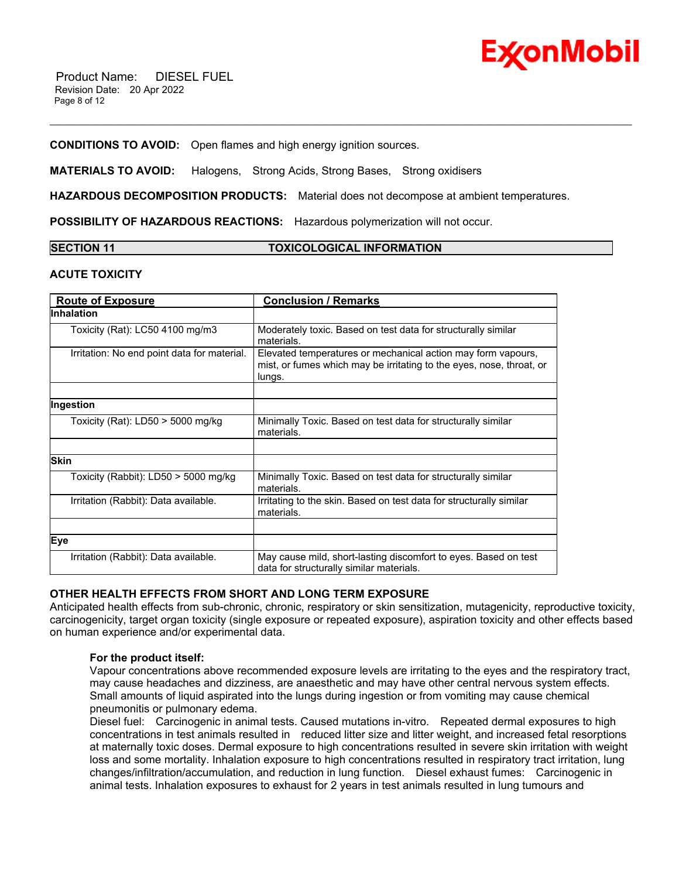

#### **CONDITIONS TO AVOID:** Open flames and high energy ignition sources.

**MATERIALS TO AVOID:** Halogens, Strong Acids, Strong Bases, Strong oxidisers

**HAZARDOUS DECOMPOSITION PRODUCTS:** Material does not decompose at ambient temperatures.

\_\_\_\_\_\_\_\_\_\_\_\_\_\_\_\_\_\_\_\_\_\_\_\_\_\_\_\_\_\_\_\_\_\_\_\_\_\_\_\_\_\_\_\_\_\_\_\_\_\_\_\_\_\_\_\_\_\_\_\_\_\_\_\_\_\_\_\_\_\_\_\_\_\_\_\_\_\_\_\_\_\_\_\_\_\_\_\_\_\_\_\_\_\_\_\_\_\_\_\_\_\_\_\_\_\_\_\_\_\_\_\_\_\_\_\_\_\_

**POSSIBILITY OF HAZARDOUS REACTIONS:** Hazardous polymerization will not occur.

| <b>SECTION 11</b> | <b>TOXICOLOGICAL INFORMATION</b> |
|-------------------|----------------------------------|
|                   |                                  |

#### **ACUTE TOXICITY**

| <b>Route of Exposure</b>                    | <b>Conclusion / Remarks</b>                                                                                                                    |
|---------------------------------------------|------------------------------------------------------------------------------------------------------------------------------------------------|
| lInhalation                                 |                                                                                                                                                |
| Toxicity (Rat): LC50 4100 mg/m3             | Moderately toxic. Based on test data for structurally similar<br>materials.                                                                    |
| Irritation: No end point data for material. | Elevated temperatures or mechanical action may form vapours,<br>mist, or fumes which may be irritating to the eyes, nose, throat, or<br>lungs. |
|                                             |                                                                                                                                                |
| Ingestion                                   |                                                                                                                                                |
| Toxicity (Rat): $LD50 > 5000$ mg/kg         | Minimally Toxic. Based on test data for structurally similar<br>materials.                                                                     |
|                                             |                                                                                                                                                |
| <b>Skin</b>                                 |                                                                                                                                                |
| Toxicity (Rabbit): LD50 > 5000 mg/kg        | Minimally Toxic. Based on test data for structurally similar<br>materials.                                                                     |
| Irritation (Rabbit): Data available.        | Irritating to the skin. Based on test data for structurally similar<br>materials.                                                              |
|                                             |                                                                                                                                                |
| Eye                                         |                                                                                                                                                |
| Irritation (Rabbit): Data available.        | May cause mild, short-lasting discomfort to eyes. Based on test<br>data for structurally similar materials.                                    |

#### **OTHER HEALTH EFFECTS FROM SHORT AND LONG TERM EXPOSURE**

Anticipated health effects from sub-chronic, chronic, respiratory or skin sensitization, mutagenicity, reproductive toxicity, carcinogenicity, target organ toxicity (single exposure or repeated exposure), aspiration toxicity and other effects based on human experience and/or experimental data.

#### **For the product itself:**

Vapour concentrations above recommended exposure levels are irritating to the eyes and the respiratory tract, may cause headaches and dizziness, are anaesthetic and may have other central nervous system effects. Small amounts of liquid aspirated into the lungs during ingestion or from vomiting may cause chemical pneumonitis or pulmonary edema.

Diesel fuel: Carcinogenic in animal tests. Caused mutations in-vitro. Repeated dermal exposures to high concentrations in test animals resulted in reduced litter size and litter weight, and increased fetal resorptions at maternally toxic doses. Dermal exposure to high concentrations resulted in severe skin irritation with weight loss and some mortality. Inhalation exposure to high concentrations resulted in respiratory tract irritation, lung changes/infiltration/accumulation, and reduction in lung function. Diesel exhaust fumes: Carcinogenic in animal tests. Inhalation exposures to exhaust for 2 years in test animals resulted in lung tumours and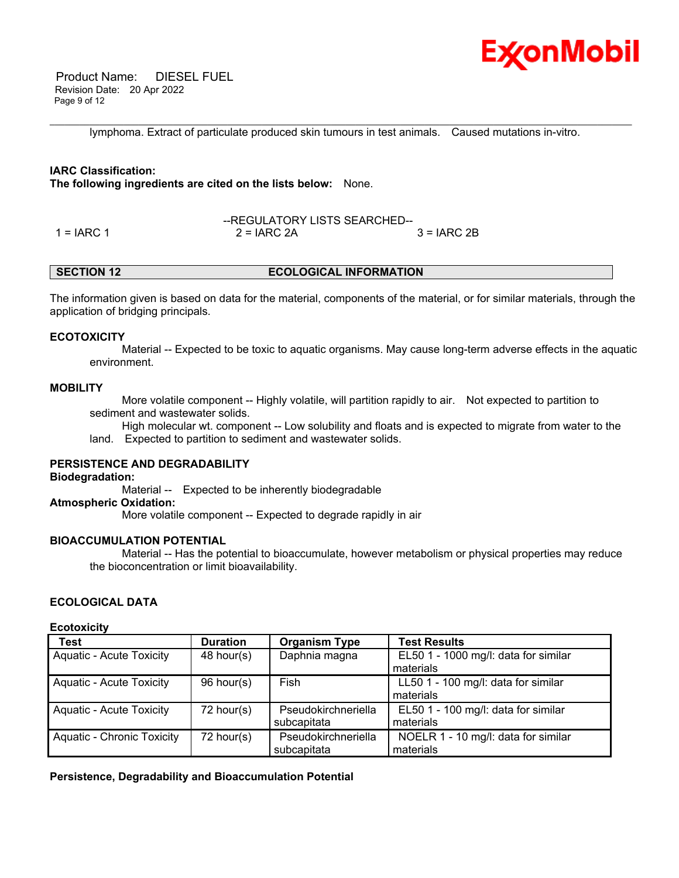

 Product Name: DIESEL FUEL Revision Date: 20 Apr 2022 Page 9 of 12

\_\_\_\_\_\_\_\_\_\_\_\_\_\_\_\_\_\_\_\_\_\_\_\_\_\_\_\_\_\_\_\_\_\_\_\_\_\_\_\_\_\_\_\_\_\_\_\_\_\_\_\_\_\_\_\_\_\_\_\_\_\_\_\_\_\_\_\_\_\_\_\_\_\_\_\_\_\_\_\_\_\_\_\_\_\_\_\_\_\_\_\_\_\_\_\_\_\_\_\_\_\_\_\_\_\_\_\_\_\_\_\_\_\_\_\_\_\_ lymphoma. Extract of particulate produced skin tumours in test animals. Caused mutations in-vitro.

#### **IARC Classification:**

**The following ingredients are cited on the lists below:** None.

--REGULATORY LISTS SEARCHED-- 1 = IARC 1 2 = IARC 2A 3 = IARC 2B

### **SECTION 12 ECOLOGICAL INFORMATION**

The information given is based on data for the material, components of the material, or for similar materials, through the application of bridging principals.

#### **ECOTOXICITY**

 Material -- Expected to be toxic to aquatic organisms. May cause long-term adverse effects in the aquatic environment.

#### **MOBILITY**

 More volatile component -- Highly volatile, will partition rapidly to air. Not expected to partition to sediment and wastewater solids.

 High molecular wt. component -- Low solubility and floats and is expected to migrate from water to the land. Expected to partition to sediment and wastewater solids.

### **PERSISTENCE AND DEGRADABILITY**

#### **Biodegradation:**

 Material -- Expected to be inherently biodegradable **Atmospheric Oxidation:** More volatile component -- Expected to degrade rapidly in air

#### **BIOACCUMULATION POTENTIAL**

 Material -- Has the potential to bioaccumulate, however metabolism or physical properties may reduce the bioconcentration or limit bioavailability.

#### **ECOLOGICAL DATA**

#### **Ecotoxicity**

| <b>Test</b>                       | <b>Duration</b> | <b>Organism Type</b> | <b>Test Results</b>                  |
|-----------------------------------|-----------------|----------------------|--------------------------------------|
| <b>Aquatic - Acute Toxicity</b>   | $48$ hour(s)    | Daphnia magna        | EL50 1 - 1000 mg/l: data for similar |
|                                   |                 |                      | materials                            |
| <b>Aquatic - Acute Toxicity</b>   | 96 hour(s)      | Fish                 | LL50 1 - 100 mg/l: data for similar  |
|                                   |                 |                      | materials                            |
| <b>Aquatic - Acute Toxicity</b>   | 72 hour(s)      | Pseudokirchneriella  | EL50 1 - 100 mg/l: data for similar  |
|                                   |                 | subcapitata          | materials                            |
| <b>Aquatic - Chronic Toxicity</b> | 72 hour(s)      | Pseudokirchneriella  | NOELR 1 - 10 mg/l: data for similar  |
|                                   |                 | subcapitata          | materials                            |

**Persistence, Degradability and Bioaccumulation Potential**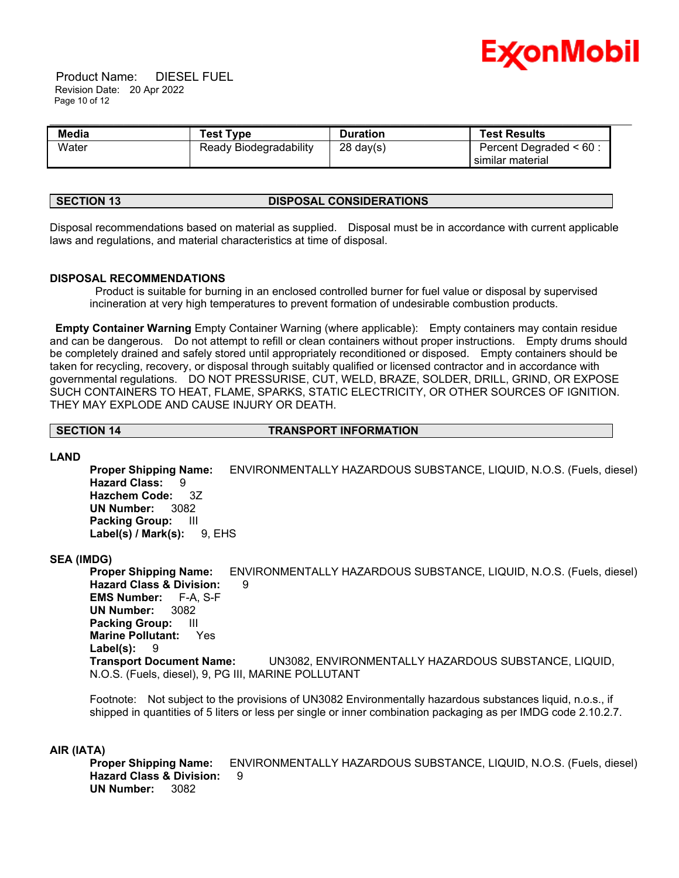

 Product Name: DIESEL FUEL Revision Date: 20 Apr 2022 Page 10 of 12

| Media | <b>Test Type</b>       | <b>Duration</b>     | <b>Test Results</b>                           |  |
|-------|------------------------|---------------------|-----------------------------------------------|--|
| Water | Ready Biodegradability | $28 \text{ day}(s)$ | Percent Degraded $< 60$ :<br>similar material |  |

#### **SECTION 13 DISPOSAL CONSIDERATIONS**

Disposal recommendations based on material as supplied. Disposal must be in accordance with current applicable laws and regulations, and material characteristics at time of disposal.

#### **DISPOSAL RECOMMENDATIONS**

Product is suitable for burning in an enclosed controlled burner for fuel value or disposal by supervised incineration at very high temperatures to prevent formation of undesirable combustion products.

**Empty Container Warning** Empty Container Warning (where applicable): Empty containers may contain residue and can be dangerous. Do not attempt to refill or clean containers without proper instructions. Empty drums should be completely drained and safely stored until appropriately reconditioned or disposed. Empty containers should be taken for recycling, recovery, or disposal through suitably qualified or licensed contractor and in accordance with governmental regulations. DO NOT PRESSURISE, CUT, WELD, BRAZE, SOLDER, DRILL, GRIND, OR EXPOSE SUCH CONTAINERS TO HEAT, FLAME, SPARKS, STATIC ELECTRICITY, OR OTHER SOURCES OF IGNITION. THEY MAY EXPLODE AND CAUSE INJURY OR DEATH.

**SECTION 14 TRANSPORT INFORMATION**

#### **LAND**

**Proper Shipping Name:** ENVIRONMENTALLY HAZARDOUS SUBSTANCE, LIQUID, N.O.S. (Fuels, diesel) **Hazard Class:** 9 **Hazchem Code:** 3Z **UN Number:** 3082 **Packing Group:** III **Label(s) / Mark(s):** 9, EHS

#### **SEA (IMDG)**

**Proper Shipping Name:** ENVIRONMENTALLY HAZARDOUS SUBSTANCE, LIQUID, N.O.S. (Fuels, diesel) **Hazard Class & Division:** 9 **EMS Number:** F-A, S-F **UN Number:** 3082 **Packing Group:** III **Marine Pollutant:** Yes **Label(s):** 9 **Transport Document Name:** UN3082, ENVIRONMENTALLY HAZARDOUS SUBSTANCE, LIQUID, N.O.S. (Fuels, diesel), 9, PG III, MARINE POLLUTANT

Footnote: Not subject to the provisions of UN3082 Environmentally hazardous substances liquid, n.o.s., if shipped in quantities of 5 liters or less per single or inner combination packaging as per IMDG code 2.10.2.7.

#### **AIR (IATA)**

**Proper Shipping Name:** ENVIRONMENTALLY HAZARDOUS SUBSTANCE, LIQUID, N.O.S. (Fuels, diesel) **Hazard Class & Division:** 9 **UN Number:** 3082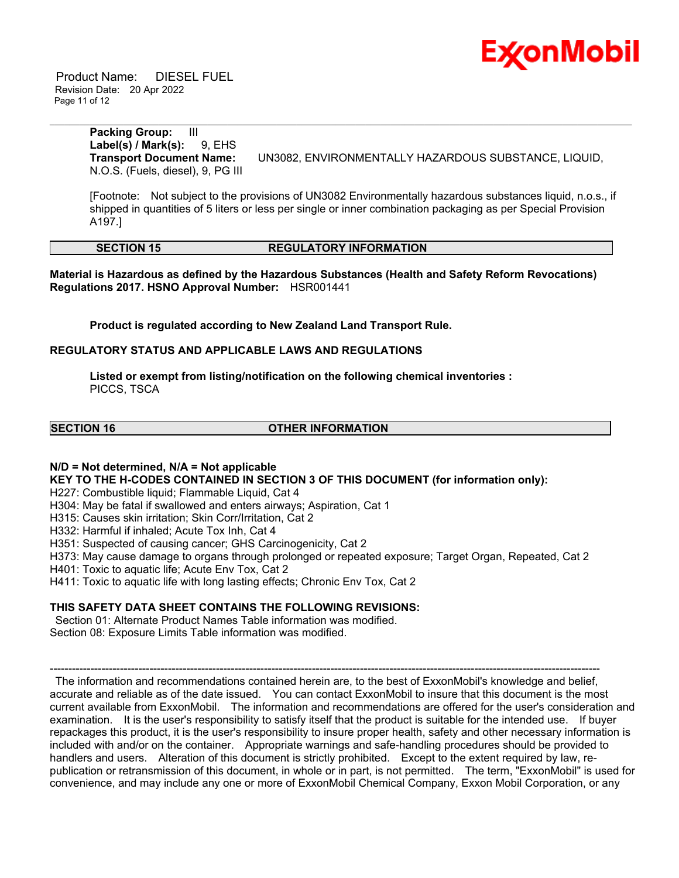

 Product Name: DIESEL FUEL Revision Date: 20 Apr 2022 Page 11 of 12

> **Packing Group:** III **Label(s) / Mark(s):** 9, EHS N.O.S. (Fuels, diesel), 9, PG III

**Transport Document Name:** UN3082, ENVIRONMENTALLY HAZARDOUS SUBSTANCE, LIQUID,

[Footnote: Not subject to the provisions of UN3082 Environmentally hazardous substances liquid, n.o.s., if shipped in quantities of 5 liters or less per single or inner combination packaging as per Special Provision A197.]

\_\_\_\_\_\_\_\_\_\_\_\_\_\_\_\_\_\_\_\_\_\_\_\_\_\_\_\_\_\_\_\_\_\_\_\_\_\_\_\_\_\_\_\_\_\_\_\_\_\_\_\_\_\_\_\_\_\_\_\_\_\_\_\_\_\_\_\_\_\_\_\_\_\_\_\_\_\_\_\_\_\_\_\_\_\_\_\_\_\_\_\_\_\_\_\_\_\_\_\_\_\_\_\_\_\_\_\_\_\_\_\_\_\_\_\_\_\_

#### **SECTION 15 REGULATORY INFORMATION**

**Material is Hazardous as defined by the Hazardous Substances (Health and Safety Reform Revocations) Regulations 2017. HSNO Approval Number:** HSR001441

**Product is regulated according to New Zealand Land Transport Rule.**

#### **REGULATORY STATUS AND APPLICABLE LAWS AND REGULATIONS**

**Listed or exempt from listing/notification on the following chemical inventories :**  PICCS, TSCA

#### **SECTION 16 OTHER INFORMATION**

#### **N/D = Not determined, N/A = Not applicable**

**KEY TO THE H-CODES CONTAINED IN SECTION 3 OF THIS DOCUMENT (for information only):**

H227: Combustible liquid; Flammable Liquid, Cat 4

H304: May be fatal if swallowed and enters airways; Aspiration, Cat 1

H315: Causes skin irritation; Skin Corr/Irritation, Cat 2

H332: Harmful if inhaled; Acute Tox Inh, Cat 4

H351: Suspected of causing cancer; GHS Carcinogenicity, Cat 2

H373: May cause damage to organs through prolonged or repeated exposure; Target Organ, Repeated, Cat 2

H401: Toxic to aquatic life; Acute Env Tox, Cat 2

H411: Toxic to aquatic life with long lasting effects; Chronic Env Tox, Cat 2

#### **THIS SAFETY DATA SHEET CONTAINS THE FOLLOWING REVISIONS:**

Section 01: Alternate Product Names Table information was modified. Section 08: Exposure Limits Table information was modified.

----------------------------------------------------------------------------------------------------------------------------------------------------- The information and recommendations contained herein are, to the best of ExxonMobil's knowledge and belief, accurate and reliable as of the date issued. You can contact ExxonMobil to insure that this document is the most current available from ExxonMobil. The information and recommendations are offered for the user's consideration and examination. It is the user's responsibility to satisfy itself that the product is suitable for the intended use. If buyer repackages this product, it is the user's responsibility to insure proper health, safety and other necessary information is included with and/or on the container. Appropriate warnings and safe-handling procedures should be provided to handlers and users. Alteration of this document is strictly prohibited. Except to the extent required by law, republication or retransmission of this document, in whole or in part, is not permitted. The term, "ExxonMobil" is used for convenience, and may include any one or more of ExxonMobil Chemical Company, Exxon Mobil Corporation, or any